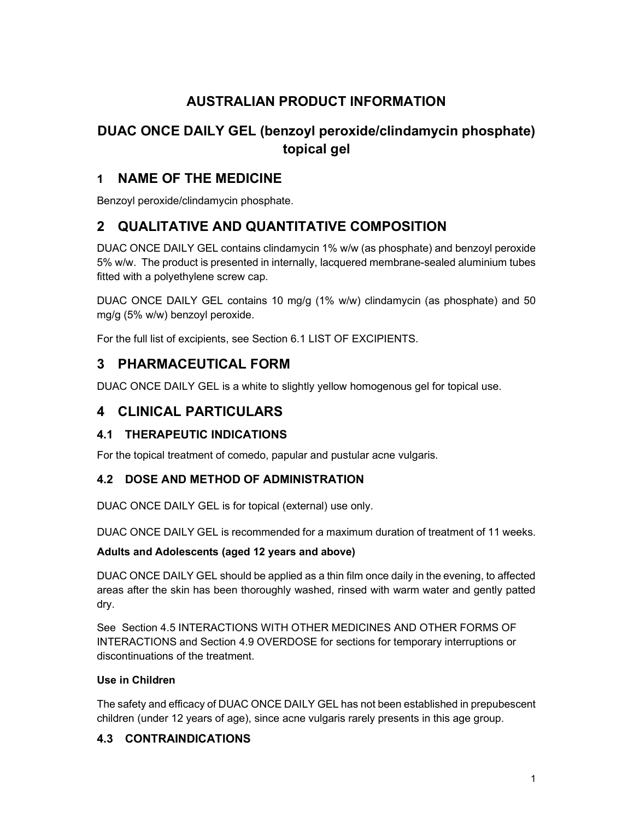# AUSTRALIAN PRODUCT INFORMATION

# DUAC ONCE DAILY GEL (benzoyl peroxide/clindamycin phosphate) topical gel

# 1 NAME OF THE MEDICINE

Benzoyl peroxide/clindamycin phosphate.

# 2 QUALITATIVE AND QUANTITATIVE COMPOSITION

DUAC ONCE DAILY GEL contains clindamycin 1% w/w (as phosphate) and benzoyl peroxide 5% w/w. The product is presented in internally, lacquered membrane-sealed aluminium tubes fitted with a polyethylene screw cap.

DUAC ONCE DAILY GEL contains 10 mg/g (1% w/w) clindamycin (as phosphate) and 50 mg/g (5% w/w) benzoyl peroxide.

For the full list of excipients, see Section 6.1 LIST OF EXCIPIENTS.

# 3 PHARMACEUTICAL FORM

DUAC ONCE DAILY GEL is a white to slightly yellow homogenous gel for topical use.

# 4 CLINICAL PARTICULARS

# 4.1 THERAPEUTIC INDICATIONS

For the topical treatment of comedo, papular and pustular acne vulgaris.

# 4.2 DOSE AND METHOD OF ADMINISTRATION

DUAC ONCE DAILY GEL is for topical (external) use only.

DUAC ONCE DAILY GEL is recommended for a maximum duration of treatment of 11 weeks.

## Adults and Adolescents (aged 12 years and above)

DUAC ONCE DAILY GEL should be applied as a thin film once daily in the evening, to affected areas after the skin has been thoroughly washed, rinsed with warm water and gently patted dry.

See Section 4.5 INTERACTIONS WITH OTHER MEDICINES AND OTHER FORMS OF INTERACTIONS and Section 4.9 OVERDOSE for sections for temporary interruptions or discontinuations of the treatment.

## Use in Children

The safety and efficacy of DUAC ONCE DAILY GEL has not been established in prepubescent children (under 12 years of age), since acne vulgaris rarely presents in this age group.

# 4.3 CONTRAINDICATIONS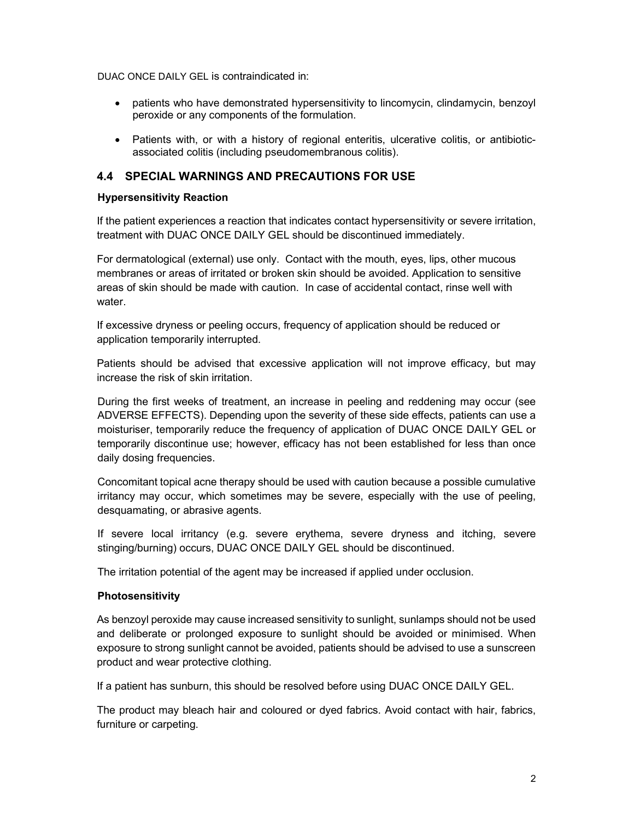DUAC ONCE DAILY GEL is contraindicated in:

- patients who have demonstrated hypersensitivity to lincomycin, clindamycin, benzoyl peroxide or any components of the formulation.
- Patients with, or with a history of regional enteritis, ulcerative colitis, or antibioticassociated colitis (including pseudomembranous colitis).

### 4.4 SPECIAL WARNINGS AND PRECAUTIONS FOR USE

#### Hypersensitivity Reaction

If the patient experiences a reaction that indicates contact hypersensitivity or severe irritation, treatment with DUAC ONCE DAILY GEL should be discontinued immediately.

For dermatological (external) use only. Contact with the mouth, eyes, lips, other mucous membranes or areas of irritated or broken skin should be avoided. Application to sensitive areas of skin should be made with caution. In case of accidental contact, rinse well with water.

If excessive dryness or peeling occurs, frequency of application should be reduced or application temporarily interrupted.

Patients should be advised that excessive application will not improve efficacy, but may increase the risk of skin irritation.

During the first weeks of treatment, an increase in peeling and reddening may occur (see ADVERSE EFFECTS). Depending upon the severity of these side effects, patients can use a moisturiser, temporarily reduce the frequency of application of DUAC ONCE DAILY GEL or temporarily discontinue use; however, efficacy has not been established for less than once daily dosing frequencies.

Concomitant topical acne therapy should be used with caution because a possible cumulative irritancy may occur, which sometimes may be severe, especially with the use of peeling, desquamating, or abrasive agents.

If severe local irritancy (e.g. severe erythema, severe dryness and itching, severe stinging/burning) occurs, DUAC ONCE DAILY GEL should be discontinued.

The irritation potential of the agent may be increased if applied under occlusion.

#### Photosensitivity

As benzoyl peroxide may cause increased sensitivity to sunlight, sunlamps should not be used and deliberate or prolonged exposure to sunlight should be avoided or minimised. When exposure to strong sunlight cannot be avoided, patients should be advised to use a sunscreen product and wear protective clothing.

If a patient has sunburn, this should be resolved before using DUAC ONCE DAILY GEL.

The product may bleach hair and coloured or dyed fabrics. Avoid contact with hair, fabrics, furniture or carpeting.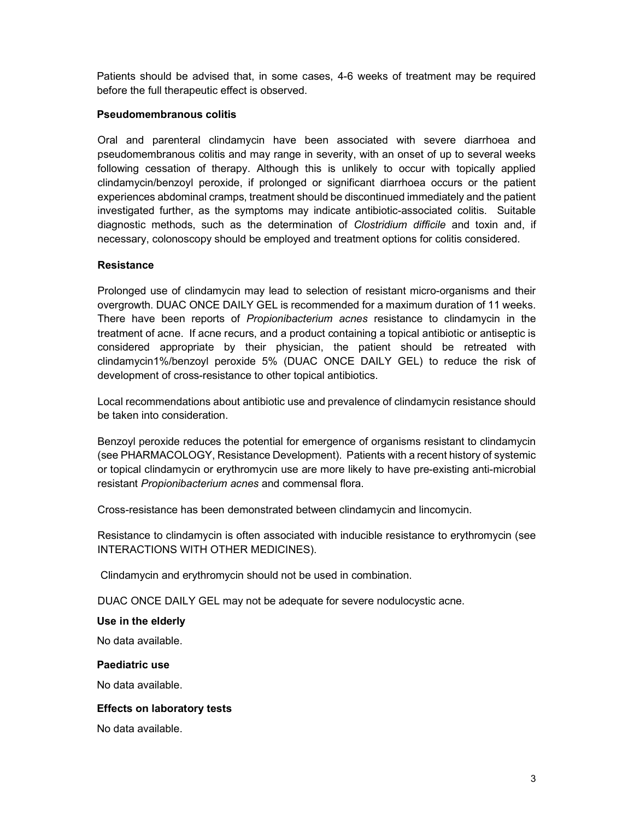Patients should be advised that, in some cases, 4-6 weeks of treatment may be required before the full therapeutic effect is observed.

#### Pseudomembranous colitis

Oral and parenteral clindamycin have been associated with severe diarrhoea and pseudomembranous colitis and may range in severity, with an onset of up to several weeks following cessation of therapy. Although this is unlikely to occur with topically applied clindamycin/benzoyl peroxide, if prolonged or significant diarrhoea occurs or the patient experiences abdominal cramps, treatment should be discontinued immediately and the patient investigated further, as the symptoms may indicate antibiotic-associated colitis. Suitable diagnostic methods, such as the determination of *Clostridium difficile* and toxin and, if necessary, colonoscopy should be employed and treatment options for colitis considered.

#### **Resistance**

Prolonged use of clindamycin may lead to selection of resistant micro-organisms and their overgrowth. DUAC ONCE DAILY GEL is recommended for a maximum duration of 11 weeks. There have been reports of *Propionibacterium acnes* resistance to clindamycin in the treatment of acne. If acne recurs, and a product containing a topical antibiotic or antiseptic is considered appropriate by their physician, the patient should be retreated with clindamycin1%/benzoyl peroxide 5% (DUAC ONCE DAILY GEL) to reduce the risk of development of cross-resistance to other topical antibiotics.

Local recommendations about antibiotic use and prevalence of clindamycin resistance should be taken into consideration.

Benzoyl peroxide reduces the potential for emergence of organisms resistant to clindamycin (see PHARMACOLOGY, Resistance Development). Patients with a recent history of systemic or topical clindamycin or erythromycin use are more likely to have pre-existing anti-microbial resistant Propionibacterium acnes and commensal flora.

Cross-resistance has been demonstrated between clindamycin and lincomycin.

Resistance to clindamycin is often associated with inducible resistance to erythromycin (see INTERACTIONS WITH OTHER MEDICINES).

Clindamycin and erythromycin should not be used in combination.

DUAC ONCE DAILY GEL may not be adequate for severe nodulocystic acne.

#### Use in the elderly

No data available.

#### Paediatric use

No data available.

#### Effects on laboratory tests

No data available.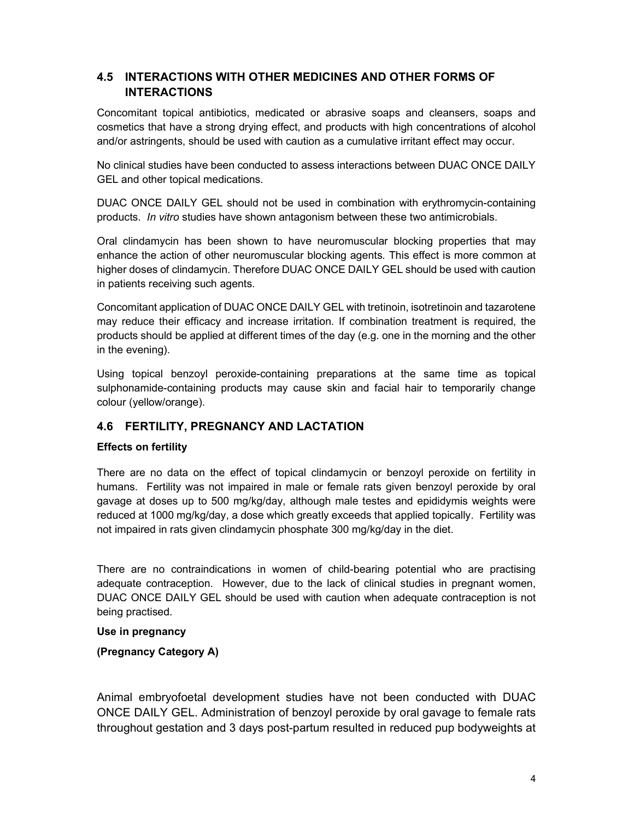## 4.5 INTERACTIONS WITH OTHER MEDICINES AND OTHER FORMS OF **INTERACTIONS**

Concomitant topical antibiotics, medicated or abrasive soaps and cleansers, soaps and cosmetics that have a strong drying effect, and products with high concentrations of alcohol and/or astringents, should be used with caution as a cumulative irritant effect may occur.

No clinical studies have been conducted to assess interactions between DUAC ONCE DAILY GEL and other topical medications.

DUAC ONCE DAILY GEL should not be used in combination with erythromycin-containing products. In vitro studies have shown antagonism between these two antimicrobials.

Oral clindamycin has been shown to have neuromuscular blocking properties that may enhance the action of other neuromuscular blocking agents. This effect is more common at higher doses of clindamycin. Therefore DUAC ONCE DAILY GEL should be used with caution in patients receiving such agents.

Concomitant application of DUAC ONCE DAILY GEL with tretinoin, isotretinoin and tazarotene may reduce their efficacy and increase irritation. If combination treatment is required, the products should be applied at different times of the day (e.g. one in the morning and the other in the evening).

Using topical benzoyl peroxide-containing preparations at the same time as topical sulphonamide-containing products may cause skin and facial hair to temporarily change colour (yellow/orange).

## 4.6 FERTILITY, PREGNANCY AND LACTATION

## Effects on fertility

There are no data on the effect of topical clindamycin or benzoyl peroxide on fertility in humans. Fertility was not impaired in male or female rats given benzoyl peroxide by oral gavage at doses up to 500 mg/kg/day, although male testes and epididymis weights were reduced at 1000 mg/kg/day, a dose which greatly exceeds that applied topically. Fertility was not impaired in rats given clindamycin phosphate 300 mg/kg/day in the diet.

There are no contraindications in women of child-bearing potential who are practising adequate contraception. However, due to the lack of clinical studies in pregnant women, DUAC ONCE DAILY GEL should be used with caution when adequate contraception is not being practised.

#### Use in pregnancy

(Pregnancy Category A)

Animal embryofoetal development studies have not been conducted with DUAC ONCE DAILY GEL. Administration of benzoyl peroxide by oral gavage to female rats throughout gestation and 3 days post-partum resulted in reduced pup bodyweights at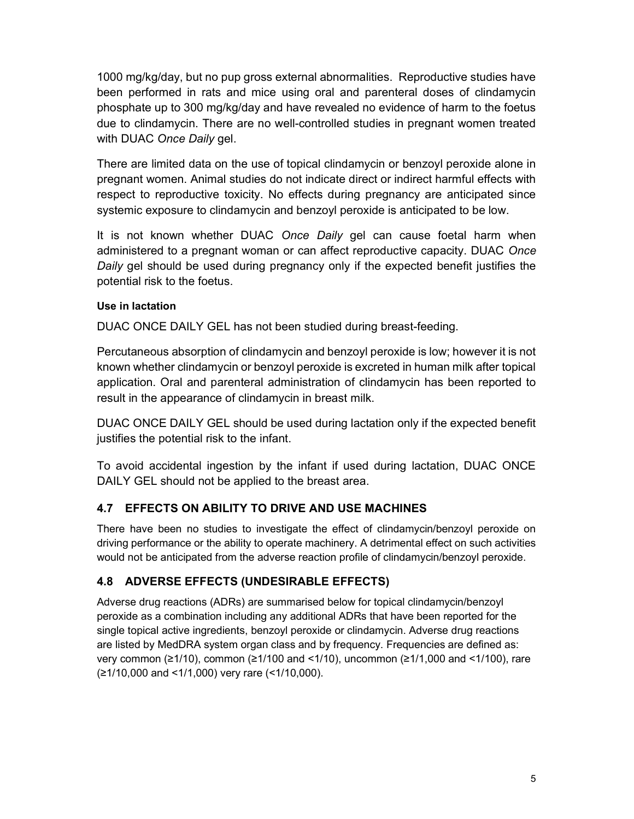1000 mg/kg/day, but no pup gross external abnormalities. Reproductive studies have been performed in rats and mice using oral and parenteral doses of clindamycin phosphate up to 300 mg/kg/day and have revealed no evidence of harm to the foetus due to clindamycin. There are no well-controlled studies in pregnant women treated with DUAC Once Daily gel.

There are limited data on the use of topical clindamycin or benzoyl peroxide alone in pregnant women. Animal studies do not indicate direct or indirect harmful effects with respect to reproductive toxicity. No effects during pregnancy are anticipated since systemic exposure to clindamycin and benzoyl peroxide is anticipated to be low.

It is not known whether DUAC Once Daily gel can cause foetal harm when administered to a pregnant woman or can affect reproductive capacity. DUAC Once Daily gel should be used during pregnancy only if the expected benefit justifies the potential risk to the foetus.

## Use in lactation

DUAC ONCE DAILY GEL has not been studied during breast-feeding.

Percutaneous absorption of clindamycin and benzoyl peroxide is low; however it is not known whether clindamycin or benzoyl peroxide is excreted in human milk after topical application. Oral and parenteral administration of clindamycin has been reported to result in the appearance of clindamycin in breast milk.

DUAC ONCE DAILY GEL should be used during lactation only if the expected benefit justifies the potential risk to the infant.

To avoid accidental ingestion by the infant if used during lactation, DUAC ONCE DAILY GEL should not be applied to the breast area.

## 4.7 EFFECTS ON ABILITY TO DRIVE AND USE MACHINES

There have been no studies to investigate the effect of clindamycin/benzoyl peroxide on driving performance or the ability to operate machinery. A detrimental effect on such activities would not be anticipated from the adverse reaction profile of clindamycin/benzoyl peroxide.

## 4.8 ADVERSE EFFECTS (UNDESIRABLE EFFECTS)

Adverse drug reactions (ADRs) are summarised below for topical clindamycin/benzoyl peroxide as a combination including any additional ADRs that have been reported for the single topical active ingredients, benzoyl peroxide or clindamycin. Adverse drug reactions are listed by MedDRA system organ class and by frequency. Frequencies are defined as: very common (≥1/10), common (≥1/100 and <1/10), uncommon (≥1/1,000 and <1/100), rare (≥1/10,000 and <1/1,000) very rare (<1/10,000).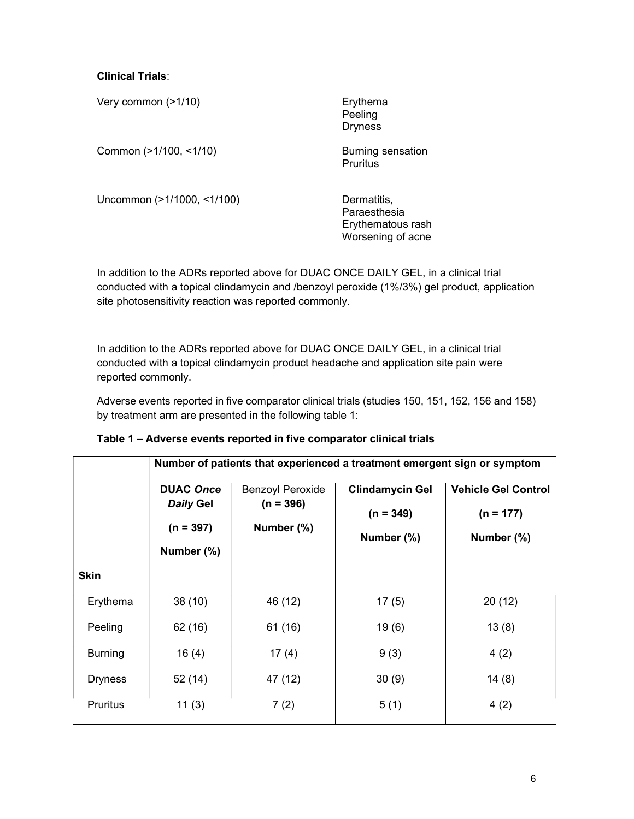Clinical Trials:

| Very common $(>1/10)$      | Erythema<br>Peeling<br><b>Dryness</b>                                 |
|----------------------------|-----------------------------------------------------------------------|
| Common (>1/100, <1/10)     | Burning sensation<br>Pruritus                                         |
| Uncommon (>1/1000, <1/100) | Dermatitis,<br>Paraesthesia<br>Erythematous rash<br>Worsening of acne |

In addition to the ADRs reported above for DUAC ONCE DAILY GEL, in a clinical trial conducted with a topical clindamycin and /benzoyl peroxide (1%/3%) gel product, application site photosensitivity reaction was reported commonly.

In addition to the ADRs reported above for DUAC ONCE DAILY GEL, in a clinical trial conducted with a topical clindamycin product headache and application site pain were reported commonly.

Adverse events reported in five comparator clinical trials (studies 150, 151, 152, 156 and 158) by treatment arm are presented in the following table 1:

|                 | Number of patients that experienced a treatment emergent sign or symptom |                                                      |                                                     |                                                         |
|-----------------|--------------------------------------------------------------------------|------------------------------------------------------|-----------------------------------------------------|---------------------------------------------------------|
|                 | <b>DUAC Once</b><br>Daily Gel<br>$(n = 397)$<br>Number (%)               | <b>Benzoyl Peroxide</b><br>$(n = 396)$<br>Number (%) | <b>Clindamycin Gel</b><br>$(n = 349)$<br>Number (%) | <b>Vehicle Gel Control</b><br>$(n = 177)$<br>Number (%) |
| <b>Skin</b>     |                                                                          |                                                      |                                                     |                                                         |
| Erythema        | 38(10)                                                                   | 46 (12)                                              | 17(5)                                               | 20(12)                                                  |
| Peeling         | 62 (16)                                                                  | 61 (16)                                              | 19(6)                                               | 13(8)                                                   |
| <b>Burning</b>  | 16(4)                                                                    | 17(4)                                                | 9(3)                                                | 4(2)                                                    |
| <b>Dryness</b>  | 52(14)                                                                   | 47 (12)                                              | 30(9)                                               | 14(8)                                                   |
| <b>Pruritus</b> | 11(3)                                                                    | 7(2)                                                 | 5(1)                                                | 4(2)                                                    |

#### Table 1 – Adverse events reported in five comparator clinical trials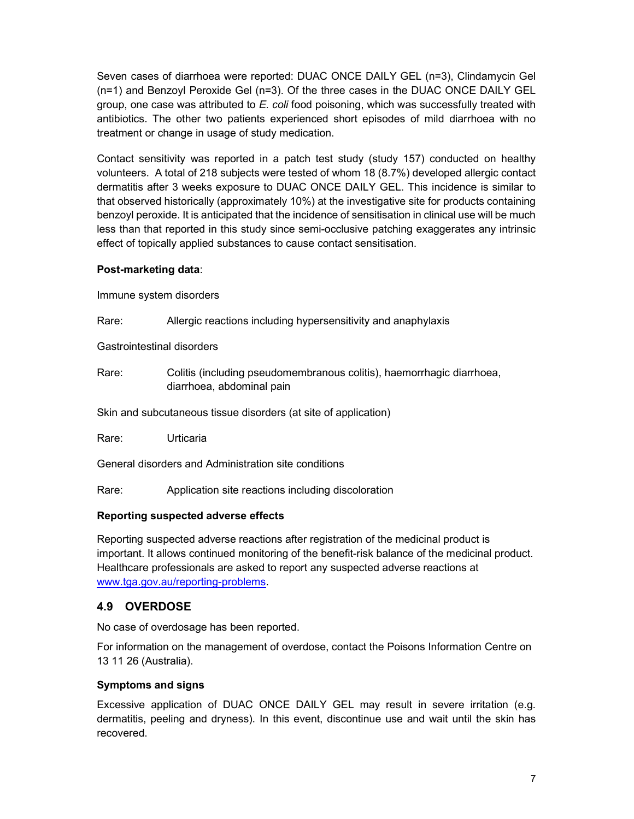Seven cases of diarrhoea were reported: DUAC ONCE DAILY GEL (n=3), Clindamycin Gel (n=1) and Benzoyl Peroxide Gel (n=3). Of the three cases in the DUAC ONCE DAILY GEL group, one case was attributed to  $E$ . coli food poisoning, which was successfully treated with antibiotics. The other two patients experienced short episodes of mild diarrhoea with no treatment or change in usage of study medication.

Contact sensitivity was reported in a patch test study (study 157) conducted on healthy volunteers. A total of 218 subjects were tested of whom 18 (8.7%) developed allergic contact dermatitis after 3 weeks exposure to DUAC ONCE DAILY GEL. This incidence is similar to that observed historically (approximately 10%) at the investigative site for products containing benzoyl peroxide. It is anticipated that the incidence of sensitisation in clinical use will be much less than that reported in this study since semi-occlusive patching exaggerates any intrinsic effect of topically applied substances to cause contact sensitisation.

#### Post-marketing data:

Immune system disorders

Rare: Allergic reactions including hypersensitivity and anaphylaxis

Gastrointestinal disorders

Rare: Colitis (including pseudomembranous colitis), haemorrhagic diarrhoea, diarrhoea, abdominal pain

Skin and subcutaneous tissue disorders (at site of application)

Rare: Urticaria

General disorders and Administration site conditions

Rare: Application site reactions including discoloration

## Reporting suspected adverse effects

Reporting suspected adverse reactions after registration of the medicinal product is important. It allows continued monitoring of the benefit-risk balance of the medicinal product. Healthcare professionals are asked to report any suspected adverse reactions at www.tga.gov.au/reporting-problems.

## 4.9 OVERDOSE

No case of overdosage has been reported.

For information on the management of overdose, contact the Poisons Information Centre on 13 11 26 (Australia).

## Symptoms and signs

Excessive application of DUAC ONCE DAILY GEL may result in severe irritation (e.g. dermatitis, peeling and dryness). In this event, discontinue use and wait until the skin has recovered.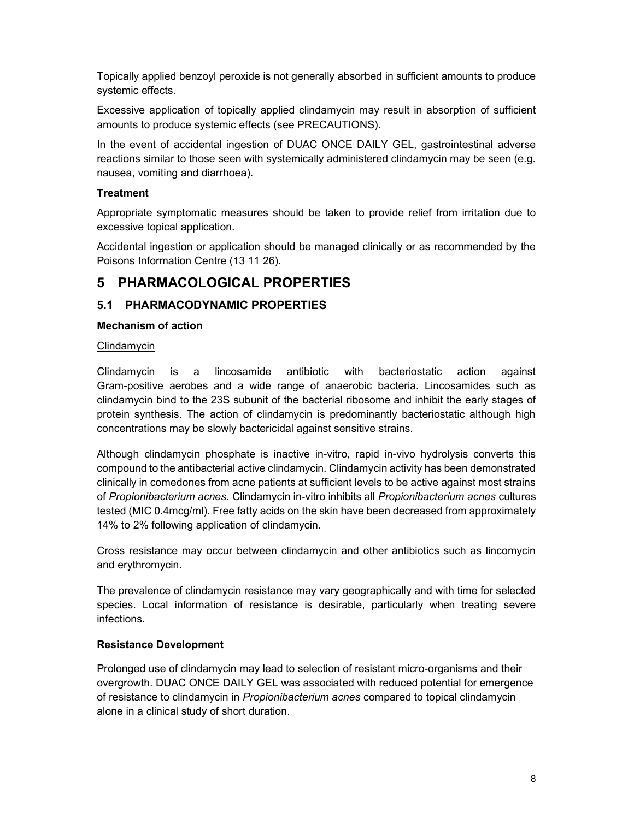Topically applied benzoyl peroxide is not generally absorbed in sufficient amounts to produce systemic effects.

Excessive application of topically applied clindamycin may result in absorption of sufficient amounts to produce systemic effects (see PRECAUTIONS).

In the event of accidental ingestion of DUAC ONCE DAILY GEL, gastrointestinal adverse reactions similar to those seen with systemically administered clindamycin may be seen (e.g. nausea, vomiting and diarrhoea).

#### **Treatment**

Appropriate symptomatic measures should be taken to provide relief from irritation due to excessive topical application.

Accidental ingestion or application should be managed clinically or as recommended by the Poisons Information Centre (13 11 26).

# 5 PHARMACOLOGICAL PROPERTIES

## 5.1 PHARMACODYNAMIC PROPERTIES

#### Mechanism of action

#### Clindamycin

Clindamycin is a lincosamide antibiotic with bacteriostatic action against Gram-positive aerobes and a wide range of anaerobic bacteria. Lincosamides such as clindamycin bind to the 23S subunit of the bacterial ribosome and inhibit the early stages of protein synthesis. The action of clindamycin is predominantly bacteriostatic although high concentrations may be slowly bactericidal against sensitive strains.

Although clindamycin phosphate is inactive in-vitro, rapid in-vivo hydrolysis converts this compound to the antibacterial active clindamycin. Clindamycin activity has been demonstrated clinically in comedones from acne patients at sufficient levels to be active against most strains of Propionibacterium acnes. Clindamycin in-vitro inhibits all Propionibacterium acnes cultures tested (MIC 0.4mcg/ml). Free fatty acids on the skin have been decreased from approximately 14% to 2% following application of clindamycin.

Cross resistance may occur between clindamycin and other antibiotics such as lincomycin and erythromycin.

The prevalence of clindamycin resistance may vary geographically and with time for selected species. Local information of resistance is desirable, particularly when treating severe infections.

## Resistance Development

Prolonged use of clindamycin may lead to selection of resistant micro-organisms and their overgrowth. DUAC ONCE DAILY GEL was associated with reduced potential for emergence of resistance to clindamycin in Propionibacterium acnes compared to topical clindamycin alone in a clinical study of short duration.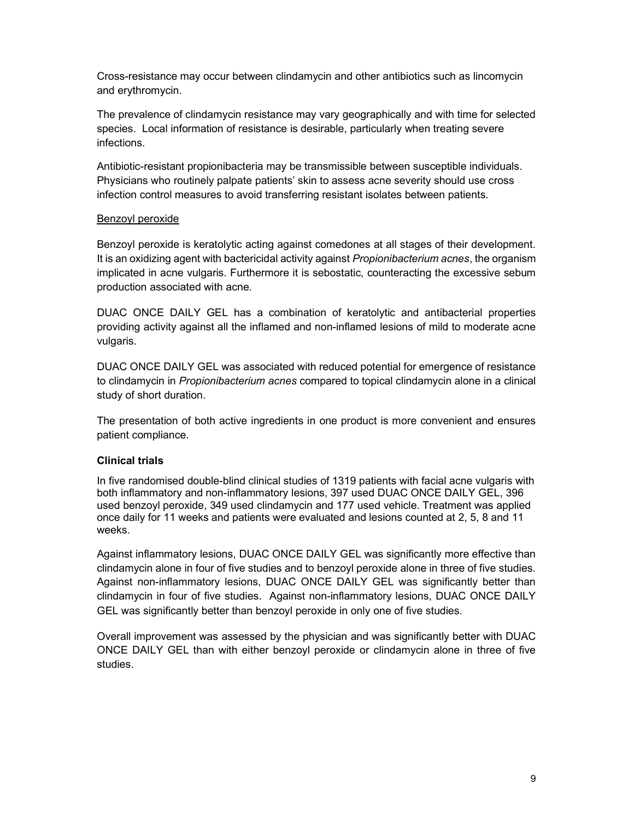Cross-resistance may occur between clindamycin and other antibiotics such as lincomycin and erythromycin.

The prevalence of clindamycin resistance may vary geographically and with time for selected species. Local information of resistance is desirable, particularly when treating severe infections.

Antibiotic-resistant propionibacteria may be transmissible between susceptible individuals. Physicians who routinely palpate patients' skin to assess acne severity should use cross infection control measures to avoid transferring resistant isolates between patients.

#### Benzoyl peroxide

Benzoyl peroxide is keratolytic acting against comedones at all stages of their development. It is an oxidizing agent with bactericidal activity against *Propionibacterium acnes*, the organism implicated in acne vulgaris. Furthermore it is sebostatic, counteracting the excessive sebum production associated with acne.

DUAC ONCE DAILY GEL has a combination of keratolytic and antibacterial properties providing activity against all the inflamed and non-inflamed lesions of mild to moderate acne vulgaris.

DUAC ONCE DAILY GEL was associated with reduced potential for emergence of resistance to clindamycin in Propionibacterium acnes compared to topical clindamycin alone in a clinical study of short duration.

The presentation of both active ingredients in one product is more convenient and ensures patient compliance.

## Clinical trials

In five randomised double-blind clinical studies of 1319 patients with facial acne vulgaris with both inflammatory and non-inflammatory lesions, 397 used DUAC ONCE DAILY GEL, 396 used benzoyl peroxide, 349 used clindamycin and 177 used vehicle. Treatment was applied once daily for 11 weeks and patients were evaluated and lesions counted at 2, 5, 8 and 11 weeks.

Against inflammatory lesions, DUAC ONCE DAILY GEL was significantly more effective than clindamycin alone in four of five studies and to benzoyl peroxide alone in three of five studies. Against non-inflammatory lesions, DUAC ONCE DAILY GEL was significantly better than clindamycin in four of five studies. Against non-inflammatory lesions, DUAC ONCE DAILY GEL was significantly better than benzoyl peroxide in only one of five studies.

Overall improvement was assessed by the physician and was significantly better with DUAC ONCE DAILY GEL than with either benzoyl peroxide or clindamycin alone in three of five studies.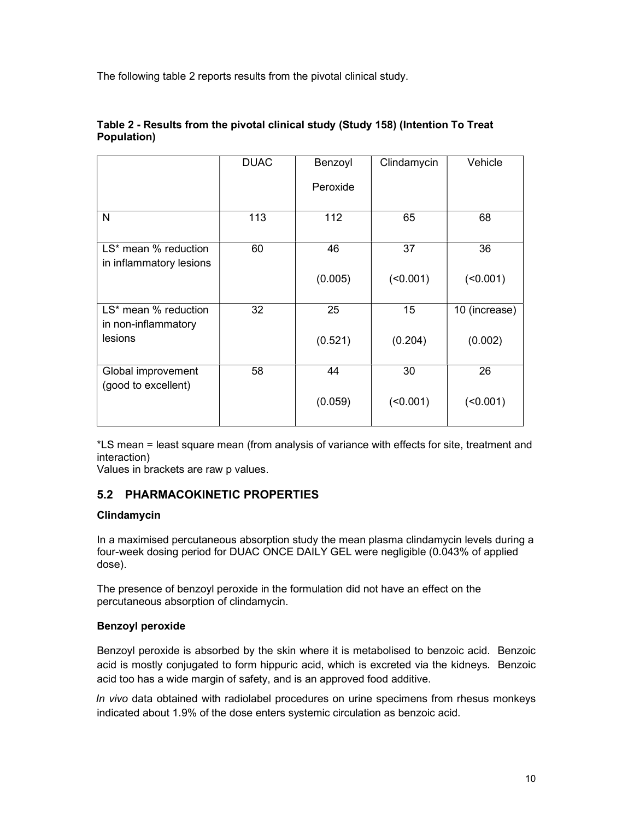The following table 2 reports results from the pivotal clinical study.

| <b>DUAC</b> | Benzoyl  | Clindamycin | Vehicle       |
|-------------|----------|-------------|---------------|
|             | Peroxide |             |               |
| 113         | 112      | 65          | 68            |
| 60          | 46       | 37          | 36            |
|             | (0.005)  | $($ <0.001) | $($ <0.001)   |
| 32          | 25       | 15          | 10 (increase) |
|             | (0.521)  | (0.204)     | (0.002)       |
| 58          | 44       | 30          | 26            |
|             | (0.059)  | (           | (             |
|             |          |             |               |

### Table 2 - Results from the pivotal clinical study (Study 158) (Intention To Treat Population)

\*LS mean = least square mean (from analysis of variance with effects for site, treatment and interaction)

Values in brackets are raw p values.

## 5.2 PHARMACOKINETIC PROPERTIES

## Clindamycin

In a maximised percutaneous absorption study the mean plasma clindamycin levels during a four-week dosing period for DUAC ONCE DAILY GEL were negligible (0.043% of applied dose).

The presence of benzoyl peroxide in the formulation did not have an effect on the percutaneous absorption of clindamycin.

## Benzoyl peroxide

Benzoyl peroxide is absorbed by the skin where it is metabolised to benzoic acid. Benzoic acid is mostly conjugated to form hippuric acid, which is excreted via the kidneys. Benzoic acid too has a wide margin of safety, and is an approved food additive.

In vivo data obtained with radiolabel procedures on urine specimens from rhesus monkeys indicated about 1.9% of the dose enters systemic circulation as benzoic acid.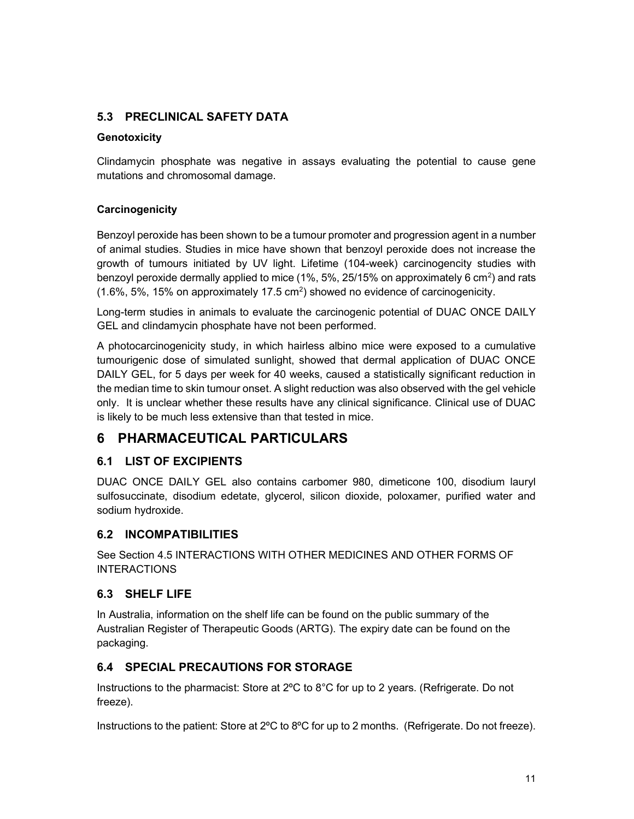# 5.3 PRECLINICAL SAFETY DATA

#### **Genotoxicity**

Clindamycin phosphate was negative in assays evaluating the potential to cause gene mutations and chromosomal damage.

#### **Carcinogenicity**

Benzoyl peroxide has been shown to be a tumour promoter and progression agent in a number of animal studies. Studies in mice have shown that benzoyl peroxide does not increase the growth of tumours initiated by UV light. Lifetime (104-week) carcinogencity studies with benzoyl peroxide dermally applied to mice (1%, 5%, 25/15% on approximately 6 cm<sup>2</sup>) and rats  $(1.6\%, 5\%, 15\%$  on approximately 17.5 cm<sup>2</sup>) showed no evidence of carcinogenicity.

Long-term studies in animals to evaluate the carcinogenic potential of DUAC ONCE DAILY GEL and clindamycin phosphate have not been performed.

A photocarcinogenicity study, in which hairless albino mice were exposed to a cumulative tumourigenic dose of simulated sunlight, showed that dermal application of DUAC ONCE DAILY GEL, for 5 days per week for 40 weeks, caused a statistically significant reduction in the median time to skin tumour onset. A slight reduction was also observed with the gel vehicle only. It is unclear whether these results have any clinical significance. Clinical use of DUAC is likely to be much less extensive than that tested in mice.

# 6 PHARMACEUTICAL PARTICULARS

## 6.1 LIST OF EXCIPIENTS

DUAC ONCE DAILY GEL also contains carbomer 980, dimeticone 100, disodium lauryl sulfosuccinate, disodium edetate, glycerol, silicon dioxide, poloxamer, purified water and sodium hydroxide.

## 6.2 INCOMPATIBILITIES

See Section 4.5 INTERACTIONS WITH OTHER MEDICINES AND OTHER FORMS OF **INTERACTIONS** 

## 6.3 SHELF LIFE

In Australia, information on the shelf life can be found on the public summary of the Australian Register of Therapeutic Goods (ARTG). The expiry date can be found on the packaging.

## 6.4 SPECIAL PRECAUTIONS FOR STORAGE

Instructions to the pharmacist: Store at 2ºC to 8°C for up to 2 years. (Refrigerate. Do not freeze).

Instructions to the patient: Store at 2ºC to 8ºC for up to 2 months. (Refrigerate. Do not freeze).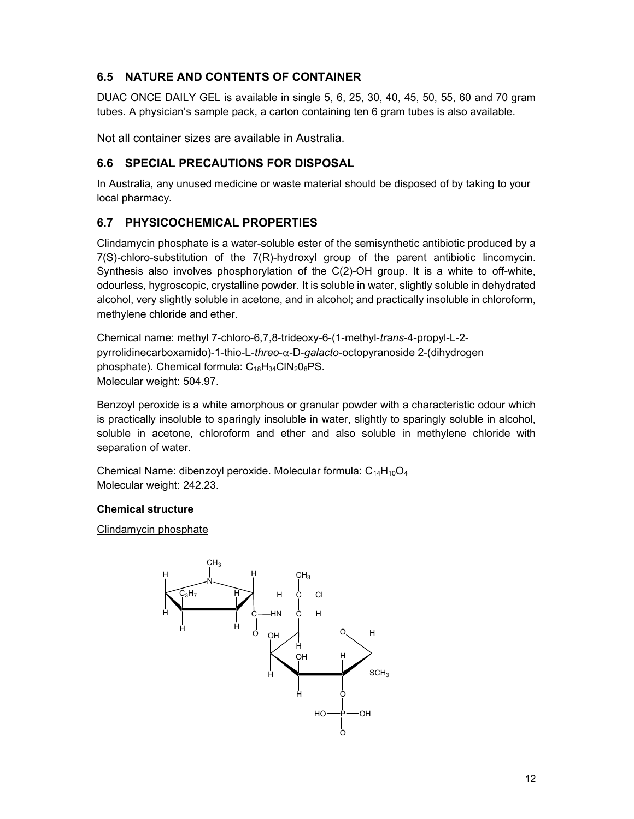## 6.5 NATURE AND CONTENTS OF CONTAINER

DUAC ONCE DAILY GEL is available in single 5, 6, 25, 30, 40, 45, 50, 55, 60 and 70 gram tubes. A physician's sample pack, a carton containing ten 6 gram tubes is also available.

Not all container sizes are available in Australia.

## 6.6 SPECIAL PRECAUTIONS FOR DISPOSAL

In Australia, any unused medicine or waste material should be disposed of by taking to your local pharmacy.

## 6.7 PHYSICOCHEMICAL PROPERTIES

Clindamycin phosphate is a water-soluble ester of the semisynthetic antibiotic produced by a 7(S)-chloro-substitution of the 7(R)-hydroxyl group of the parent antibiotic lincomycin. Synthesis also involves phosphorylation of the C(2)-OH group. It is a white to off-white, odourless, hygroscopic, crystalline powder. It is soluble in water, slightly soluble in dehydrated alcohol, very slightly soluble in acetone, and in alcohol; and practically insoluble in chloroform, methylene chloride and ether.

Chemical name: methyl 7-chloro-6,7,8-trideoxy-6-(1-methyl-trans-4-propyl-L-2  $pyrrolidine carboxamido)-1-thio-L-threo- $\alpha$ -D-galacto-octopyranoside 2-(dihydrogen$ phosphate). Chemical formula:  $C_{18}H_{34}CIN_2O_8PS$ . Molecular weight: 504.97.

Benzoyl peroxide is a white amorphous or granular powder with a characteristic odour which is practically insoluble to sparingly insoluble in water, slightly to sparingly soluble in alcohol, soluble in acetone, chloroform and ether and also soluble in methylene chloride with separation of water.

Chemical Name: dibenzoyl peroxide. Molecular formula: C<sub>14</sub>H<sub>10</sub>O<sub>4</sub> Molecular weight: 242.23.

#### Chemical structure

Clindamycin phosphate

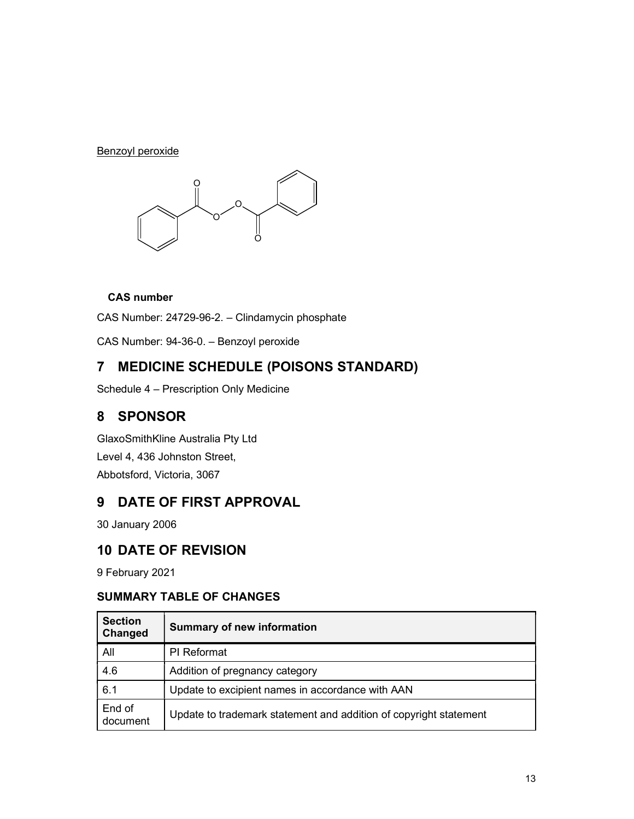Benzoyl peroxide



## CAS number

CAS Number: 24729-96-2. – Clindamycin phosphate

CAS Number: 94-36-0. – Benzoyl peroxide

# 7 MEDICINE SCHEDULE (POISONS STANDARD)

Schedule 4 – Prescription Only Medicine

# 8 SPONSOR

GlaxoSmithKline Australia Pty Ltd Level 4, 436 Johnston Street, Abbotsford, Victoria, 3067

# 9 DATE OF FIRST APPROVAL

30 January 2006

# 10 DATE OF REVISION

9 February 2021

## SUMMARY TABLE OF CHANGES

| <b>Section</b><br>Changed | <b>Summary of new information</b>                                 |
|---------------------------|-------------------------------------------------------------------|
| All                       | <b>PI</b> Reformat                                                |
| 4.6                       | Addition of pregnancy category                                    |
| 6.1                       | Update to excipient names in accordance with AAN                  |
| End of<br>document        | Update to trademark statement and addition of copyright statement |